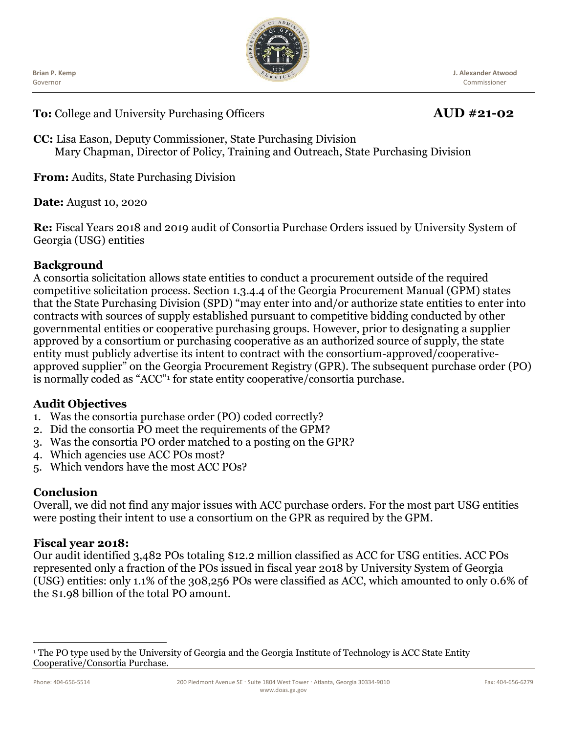Ĭ **Brian P. Kemp** Governor



**J. Alexander Atwood** Commissioner

**To:** College and University Purchasing Officers **AUD #21-02**

**CC:** Lisa Eason, Deputy Commissioner, State Purchasing Division Mary Chapman, Director of Policy, Training and Outreach, State Purchasing Division

**From:** Audits, State Purchasing Division

**Date:** August 10, 2020

**Re:** Fiscal Years 2018 and 2019 audit of Consortia Purchase Orders issued by University System of Georgia (USG) entities

### **Background**

A consortia solicitation allows state entities to conduct a procurement outside of the required competitive solicitation process. Section 1.3.4.4 of the Georgia Procurement Manual (GPM) states that the State Purchasing Division (SPD) "may enter into and/or authorize state entities to enter into contracts with sources of supply established pursuant to competitive bidding conducted by other governmental entities or cooperative purchasing groups. However, prior to designating a supplier approved by a consortium or purchasing cooperative as an authorized source of supply, the state entity must publicly advertise its intent to contract with the consortium-approved/cooperativeapproved supplier" on the Georgia Procurement Registry (GPR). The subsequent purchase order (PO) is normally coded as "ACC"<sup>1</sup> for state entity cooperative/consortia purchase.

## **Audit Objectives**

- 1. Was the consortia purchase order (PO) coded correctly?
- 2. Did the consortia PO meet the requirements of the GPM?
- 3. Was the consortia PO order matched to a posting on the GPR?
- 4. Which agencies use ACC POs most?
- 5. Which vendors have the most ACC POs?

#### **Conclusion**

Overall, we did not find any major issues with ACC purchase orders. For the most part USG entities were posting their intent to use a consortium on the GPR as required by the GPM.

#### **Fiscal year 2018:**

Our audit identified 3,482 POs totaling \$12.2 million classified as ACC for USG entities. ACC POs represented only a fraction of the POs issued in fiscal year 2018 by University System of Georgia (USG) entities: only 1.1% of the 308,256 POs were classified as ACC, which amounted to only 0.6% of the \$1.98 billion of the total PO amount.

<sup>&</sup>lt;sup>1</sup> The PO type used by the University of Georgia and the Georgia Institute of Technology is ACC State Entity Cooperative/Consortia Purchase.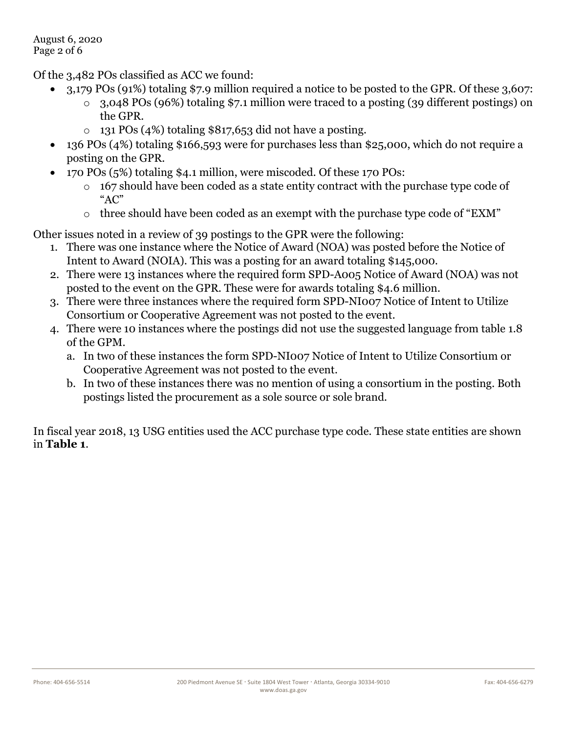Of the 3,482 POs classified as ACC we found:

- 3,179 POs (91%) totaling \$7.9 million required a notice to be posted to the GPR. Of these 3,607: o 3,048 POs (96%) totaling \$7.1 million were traced to a posting (39 different postings) on the GPR.
	- $\circ$  131 POs (4%) totaling \$817,653 did not have a posting.
- 136 POs (4%) totaling \$166,593 were for purchases less than \$25,000, which do not require a posting on the GPR.
- 170 POs (5%) totaling \$4.1 million, were miscoded. Of these 170 POs:
	- o 167 should have been coded as a state entity contract with the purchase type code of "AC"
	- o three should have been coded as an exempt with the purchase type code of "EXM"

Other issues noted in a review of 39 postings to the GPR were the following:

- 1. There was one instance where the Notice of Award (NOA) was posted before the Notice of Intent to Award (NOIA). This was a posting for an award totaling \$145,000.
- 2. There were 13 instances where the required form SPD-A005 Notice of Award (NOA) was not posted to the event on the GPR. These were for awards totaling \$4.6 million.
- 3. There were three instances where the required form SPD-NI007 Notice of Intent to Utilize Consortium or Cooperative Agreement was not posted to the event.
- 4. There were 10 instances where the postings did not use the suggested language from table 1.8 of the GPM.
	- a. In two of these instances the form SPD-NI007 Notice of Intent to Utilize Consortium or Cooperative Agreement was not posted to the event.
	- b. In two of these instances there was no mention of using a consortium in the posting. Both postings listed the procurement as a sole source or sole brand.

In fiscal year 2018, 13 USG entities used the ACC purchase type code. These state entities are shown in **Table 1**.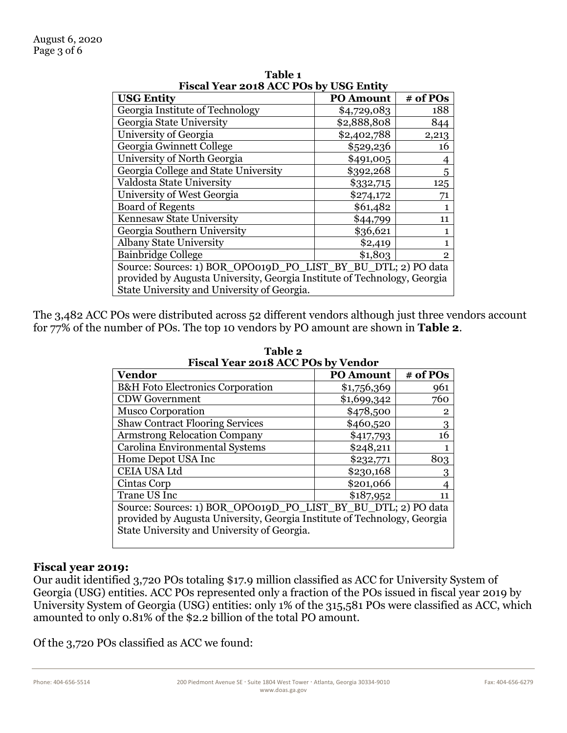| FISCAL LEAF 2018 ACC POS BY USG EILLIV                                   |                  |                |  |  |
|--------------------------------------------------------------------------|------------------|----------------|--|--|
| <b>USG Entity</b>                                                        | <b>PO Amount</b> | # of POs       |  |  |
| Georgia Institute of Technology                                          | \$4,729,083      | 188            |  |  |
| Georgia State University                                                 | \$2,888,808      | 844            |  |  |
| University of Georgia                                                    | \$2,402,788      | 2,213          |  |  |
| Georgia Gwinnett College                                                 | \$529,236        | 16             |  |  |
| University of North Georgia                                              | \$491,005        |                |  |  |
| Georgia College and State University                                     | \$392,268        | 5              |  |  |
| Valdosta State University                                                | \$332,715        | 125            |  |  |
| University of West Georgia                                               | \$274,172        | 71             |  |  |
| <b>Board of Regents</b>                                                  | \$61,482         |                |  |  |
| Kennesaw State University                                                | \$44,799         | 11             |  |  |
| Georgia Southern University                                              | \$36,621         |                |  |  |
| <b>Albany State University</b>                                           | \$2,419          | 1              |  |  |
| Bainbridge College                                                       | \$1,803          | $\overline{2}$ |  |  |
| Source: Sources: 1) BOR_OPO019D_PO_LIST_BY_BU_DTL; 2) PO data            |                  |                |  |  |
| provided by Augusta University, Georgia Institute of Technology, Georgia |                  |                |  |  |
| State University and University of Georgia.                              |                  |                |  |  |

**Table 1 Fiscal Year 2018 ACC POs by USG Entity**

The 3,482 ACC POs were distributed across 52 different vendors although just three vendors account for 77% of the number of POs. The top 10 vendors by PO amount are shown in **Table 2**.

| Fiscal Teal 2018 ACC FOS Dy Velluor                                      |                  |                |  |  |
|--------------------------------------------------------------------------|------------------|----------------|--|--|
| <b>Vendor</b>                                                            | <b>PO Amount</b> | # of POs       |  |  |
| <b>B&amp;H</b> Foto Electronics Corporation                              | \$1,756,369      | 961            |  |  |
| <b>CDW Government</b>                                                    | \$1,699,342      | 760            |  |  |
| <b>Musco Corporation</b>                                                 | \$478,500        | $\overline{2}$ |  |  |
| <b>Shaw Contract Flooring Services</b>                                   | \$460,520        | 3              |  |  |
| <b>Armstrong Relocation Company</b>                                      | \$417,793        | 16             |  |  |
| Carolina Environmental Systems                                           | \$248,211        |                |  |  |
| Home Depot USA Inc                                                       | \$232,771        | 803            |  |  |
| CEIA USA Ltd                                                             | \$230,168        | 3              |  |  |
| Cintas Corp                                                              | \$201,066        |                |  |  |
| Trane US Inc                                                             | \$187,952        | 11             |  |  |
| Source: Sources: 1) BOR_OPO019D_PO_LIST_BY_BU_DTL; 2) PO data            |                  |                |  |  |
| provided by Augusta University, Georgia Institute of Technology, Georgia |                  |                |  |  |
| State University and University of Georgia.                              |                  |                |  |  |
|                                                                          |                  |                |  |  |

**Table 2 Fiscal Year 2018 ACC POs by Vendor**

#### **Fiscal year 2019:**

Our audit identified 3,720 POs totaling \$17.9 million classified as ACC for University System of Georgia (USG) entities. ACC POs represented only a fraction of the POs issued in fiscal year 2019 by University System of Georgia (USG) entities: only 1% of the 315,581 POs were classified as ACC, which amounted to only 0.81% of the \$2.2 billion of the total PO amount.

Of the 3,720 POs classified as ACC we found: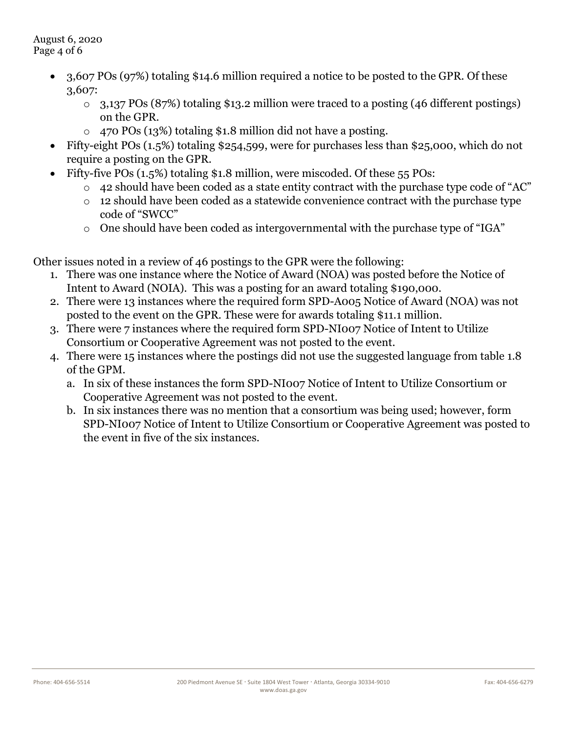August 6, 2020 Page 4 of 6

- 3,607 POs (97%) totaling \$14.6 million required a notice to be posted to the GPR. Of these 3,607:
	- o 3,137 POs (87%) totaling \$13.2 million were traced to a posting (46 different postings) on the GPR.
	- o 470 POs (13%) totaling \$1.8 million did not have a posting.
- Fifty-eight POs (1.5%) totaling \$254,599, were for purchases less than \$25,000, which do not require a posting on the GPR.
- Fifty-five POs (1.5%) totaling \$1.8 million, were miscoded. Of these 55 POs:
	- o 42 should have been coded as a state entity contract with the purchase type code of "AC"
	- o 12 should have been coded as a statewide convenience contract with the purchase type code of "SWCC"
	- o One should have been coded as intergovernmental with the purchase type of "IGA"

Other issues noted in a review of 46 postings to the GPR were the following:

- 1. There was one instance where the Notice of Award (NOA) was posted before the Notice of Intent to Award (NOIA). This was a posting for an award totaling \$190,000.
- 2. There were 13 instances where the required form SPD-A005 Notice of Award (NOA) was not posted to the event on the GPR. These were for awards totaling \$11.1 million.
- 3. There were 7 instances where the required form SPD-NI007 Notice of Intent to Utilize Consortium or Cooperative Agreement was not posted to the event.
- 4. There were 15 instances where the postings did not use the suggested language from table 1.8 of the GPM.
	- a. In six of these instances the form SPD-NI007 Notice of Intent to Utilize Consortium or Cooperative Agreement was not posted to the event.
	- b. In six instances there was no mention that a consortium was being used; however, form SPD-NI007 Notice of Intent to Utilize Consortium or Cooperative Agreement was posted to the event in five of the six instances.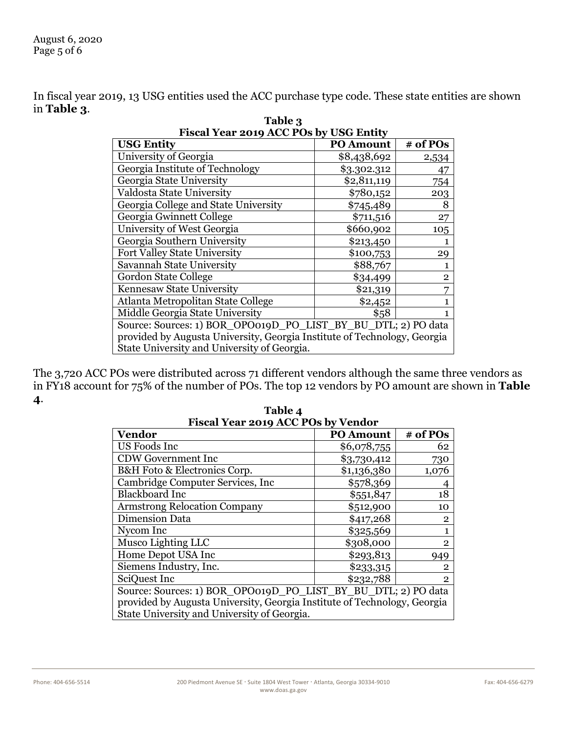In fiscal year 2019, 13 USG entities used the ACC purchase type code. These state entities are shown in **Table 3**.

| Fiscal Year 2019 ACC POs by USG Entity                                   |                  |              |  |  |
|--------------------------------------------------------------------------|------------------|--------------|--|--|
| <b>USG Entity</b>                                                        | <b>PO Amount</b> | # of POs     |  |  |
| University of Georgia                                                    | \$8,438,692      | 2,534        |  |  |
| Georgia Institute of Technology                                          | \$3.302.312      | 47           |  |  |
| Georgia State University                                                 | \$2,811,119      | 754          |  |  |
| Valdosta State University                                                | \$780,152        | 203          |  |  |
| Georgia College and State University                                     | \$745,489        | 8            |  |  |
| Georgia Gwinnett College                                                 | \$711,516        | 27           |  |  |
| University of West Georgia                                               | \$660,902        | 105          |  |  |
| Georgia Southern University                                              | \$213,450        |              |  |  |
| Fort Valley State University                                             | \$100,753        | 29           |  |  |
| Savannah State University                                                | \$88,767         |              |  |  |
| Gordon State College                                                     | \$34,499         | $\mathbf{2}$ |  |  |
| Kennesaw State University                                                | \$21,319         |              |  |  |
| Atlanta Metropolitan State College                                       | \$2,452          |              |  |  |
| Middle Georgia State University                                          | \$58             |              |  |  |
| Source: Sources: 1) BOR_OPO019D_PO_LIST_BY_BU_DTL; 2) PO data            |                  |              |  |  |
| provided by Augusta University, Georgia Institute of Technology, Georgia |                  |              |  |  |
| State University and University of Georgia.                              |                  |              |  |  |

**Table 3 Fiscal Year 2019 ACC POs by USG Entity**

The 3,720 ACC POs were distributed across 71 different vendors although the same three vendors as in FY18 account for 75% of the number of POs. The top 12 vendors by PO amount are shown in **Table 4**.

| Fiscal Year 2019 ACC POs by Vendor                                       |                  |                |  |  |
|--------------------------------------------------------------------------|------------------|----------------|--|--|
| <b>Vendor</b>                                                            | <b>PO Amount</b> | # of POs       |  |  |
| US Foods Inc                                                             | \$6,078,755      | 62             |  |  |
| <b>CDW Government Inc</b>                                                | \$3,730,412      | 730            |  |  |
| B&H Foto & Electronics Corp.                                             | \$1,136,380      | 1,076          |  |  |
| Cambridge Computer Services, Inc.                                        | \$578,369        | 4              |  |  |
| <b>Blackboard Inc</b>                                                    | \$551,847        | 18             |  |  |
| <b>Armstrong Relocation Company</b>                                      | \$512,900        | 10             |  |  |
| <b>Dimension Data</b>                                                    | \$417,268        | $\overline{2}$ |  |  |
| Nycom Inc                                                                | \$325,569        | $\mathbf{1}$   |  |  |
| Musco Lighting LLC                                                       | \$308,000        | $\overline{2}$ |  |  |
| Home Depot USA Inc                                                       | \$293,813        | 949            |  |  |
| Siemens Industry, Inc.                                                   | \$233,315        | $\overline{2}$ |  |  |
| SciQuest Inc                                                             | \$232,788        | $\overline{2}$ |  |  |
| Source: Sources: 1) BOR_OPO019D_PO_LIST_BY_BU_DTL; 2) PO data            |                  |                |  |  |
| provided by Augusta University, Georgia Institute of Technology, Georgia |                  |                |  |  |
| State University and University of Georgia.                              |                  |                |  |  |

**Table 4 Fiscal Year 2019 ACC POs by Vendor**